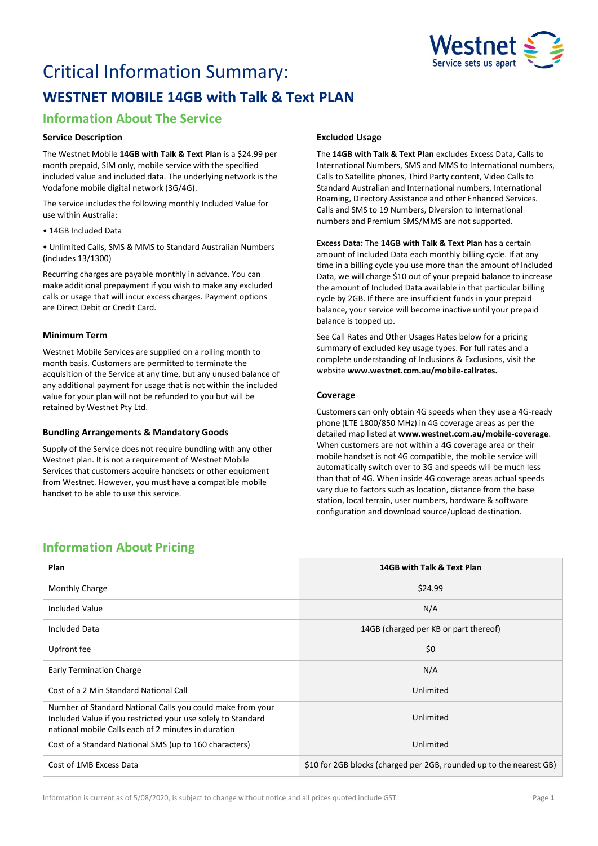

# Critical Information Summary: **WESTNET MOBILE 14GB with Talk & Text PLAN**

# **Information About The Service**

### **Service Description**

The Westnet Mobile **14GB with Talk & Text Plan** is a \$24.99 per month prepaid, SIM only, mobile service with the specified included value and included data. The underlying network is the Vodafone mobile digital network (3G/4G).

The service includes the following monthly Included Value for use within Australia:

• 14GB Included Data

• Unlimited Calls, SMS & MMS to Standard Australian Numbers (includes 13/1300)

Recurring charges are payable monthly in advance. You can make additional prepayment if you wish to make any excluded calls or usage that will incur excess charges. Payment options are Direct Debit or Credit Card.

# **Minimum Term**

Westnet Mobile Services are supplied on a rolling month to month basis. Customers are permitted to terminate the acquisition of the Service at any time, but any unused balance of any additional payment for usage that is not within the included value for your plan will not be refunded to you but will be retained by Westnet Pty Ltd.

### **Bundling Arrangements & Mandatory Goods**

Supply of the Service does not require bundling with any other Westnet plan. It is not a requirement of Westnet Mobile Services that customers acquire handsets or other equipment from Westnet. However, you must have a compatible mobile handset to be able to use this service.

# **Excluded Usage**

The **14GB with Talk & Text Plan** excludes Excess Data, Calls to International Numbers, SMS and MMS to International numbers, Calls to Satellite phones, Third Party content, Video Calls to Standard Australian and International numbers, International Roaming, Directory Assistance and other Enhanced Services. Calls and SMS to 19 Numbers, Diversion to International numbers and Premium SMS/MMS are not supported.

**Excess Data:** The **14GB with Talk & Text Plan** has a certain amount of Included Data each monthly billing cycle. If at any time in a billing cycle you use more than the amount of Included Data, we will charge \$10 out of your prepaid balance to increase the amount of Included Data available in that particular billing cycle by 2GB. If there are insufficient funds in your prepaid balance, your service will become inactive until your prepaid balance is topped up.

See Call Rates and Other Usages Rates below for a pricing summary of excluded key usage types. For full rates and a complete understanding of Inclusions & Exclusions, visit the website **[www.westnet.com.au/mobile-callrates.](http://www.westnet.com.au/mobile-callrates)**

# **Coverage**

Customers can only obtain 4G speeds when they use a 4G-ready phone (LTE 1800/850 MHz) in 4G coverage areas as per the detailed map listed at **[www.westnet.com.au/mobile-coverage](https://www.westnet.com.au/mobile-coverage)**. When customers are not within a 4G coverage area or their mobile handset is not 4G compatible, the mobile service will automatically switch over to 3G and speeds will be much less than that of 4G. When inside 4G coverage areas actual speeds vary due to factors such as location, distance from the base station, local terrain, user numbers, hardware & software configuration and download source/upload destination.

# **Information About Pricing**

| Plan                                                                                                                                                                              | 14GB with Talk & Text Plan                                          |
|-----------------------------------------------------------------------------------------------------------------------------------------------------------------------------------|---------------------------------------------------------------------|
| Monthly Charge                                                                                                                                                                    | \$24.99                                                             |
| <b>Included Value</b>                                                                                                                                                             | N/A                                                                 |
| <b>Included Data</b>                                                                                                                                                              | 14GB (charged per KB or part thereof)                               |
| Upfront fee                                                                                                                                                                       | \$0                                                                 |
| <b>Early Termination Charge</b>                                                                                                                                                   | N/A                                                                 |
| Cost of a 2 Min Standard National Call                                                                                                                                            | Unlimited                                                           |
| Number of Standard National Calls you could make from your<br>Included Value if you restricted your use solely to Standard<br>national mobile Calls each of 2 minutes in duration | Unlimited                                                           |
| Cost of a Standard National SMS (up to 160 characters)                                                                                                                            | Unlimited                                                           |
| Cost of 1MB Excess Data                                                                                                                                                           | \$10 for 2GB blocks (charged per 2GB, rounded up to the nearest GB) |